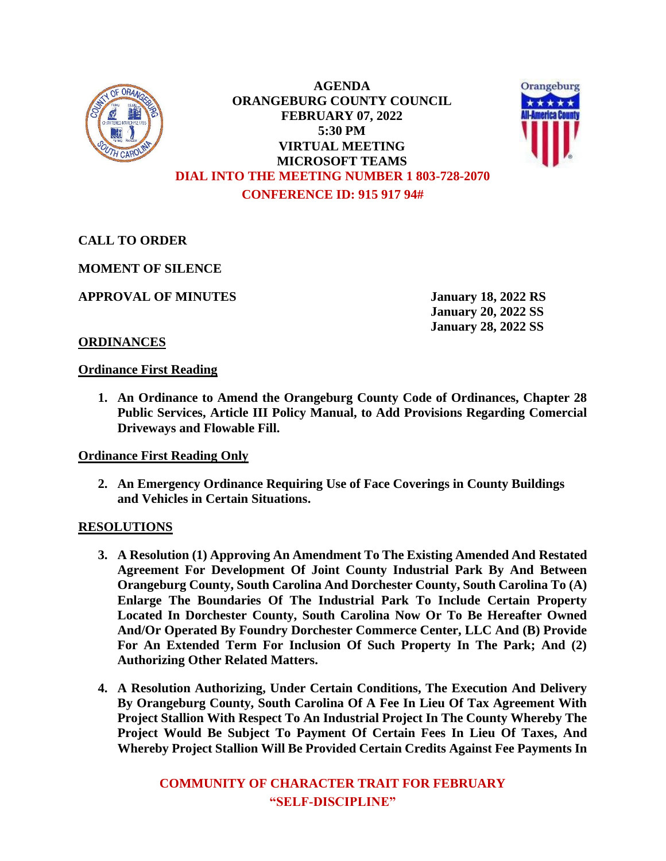

**AGENDA ORANGEBURG COUNTY COUNCIL FEBRUARY 07, 2022 5:30 PM VIRTUAL MEETING MICROSOFT TEAMS DIAL INTO THE MEETING NUMBER 1 803-728-2070 CONFERENCE ID: 915 917 94#**



**CALL TO ORDER**

**MOMENT OF SILENCE**

**APPROVAL OF MINUTES January 18, 2022 RS**

**January 20, 2022 SS January 28, 2022 SS**

# **ORDINANCES**

#### **Ordinance First Reading**

**1. An Ordinance to Amend the Orangeburg County Code of Ordinances, Chapter 28 Public Services, Article III Policy Manual, to Add Provisions Regarding Comercial Driveways and Flowable Fill.**

## **Ordinance First Reading Only**

**2. An Emergency Ordinance Requiring Use of Face Coverings in County Buildings and Vehicles in Certain Situations.**

## **RESOLUTIONS**

- **3. A Resolution (1) Approving An Amendment To The Existing Amended And Restated Agreement For Development Of Joint County Industrial Park By And Between Orangeburg County, South Carolina And Dorchester County, South Carolina To (A) Enlarge The Boundaries Of The Industrial Park To Include Certain Property Located In Dorchester County, South Carolina Now Or To Be Hereafter Owned And/Or Operated By Foundry Dorchester Commerce Center, LLC And (B) Provide For An Extended Term For Inclusion Of Such Property In The Park; And (2) Authorizing Other Related Matters.**
- **4. A Resolution Authorizing, Under Certain Conditions, The Execution And Delivery By Orangeburg County, South Carolina Of A Fee In Lieu Of Tax Agreement With Project Stallion With Respect To An Industrial Project In The County Whereby The Project Would Be Subject To Payment Of Certain Fees In Lieu Of Taxes, And Whereby Project Stallion Will Be Provided Certain Credits Against Fee Payments In**

**COMMUNITY OF CHARACTER TRAIT FOR FEBRUARY "SELF-DISCIPLINE"**